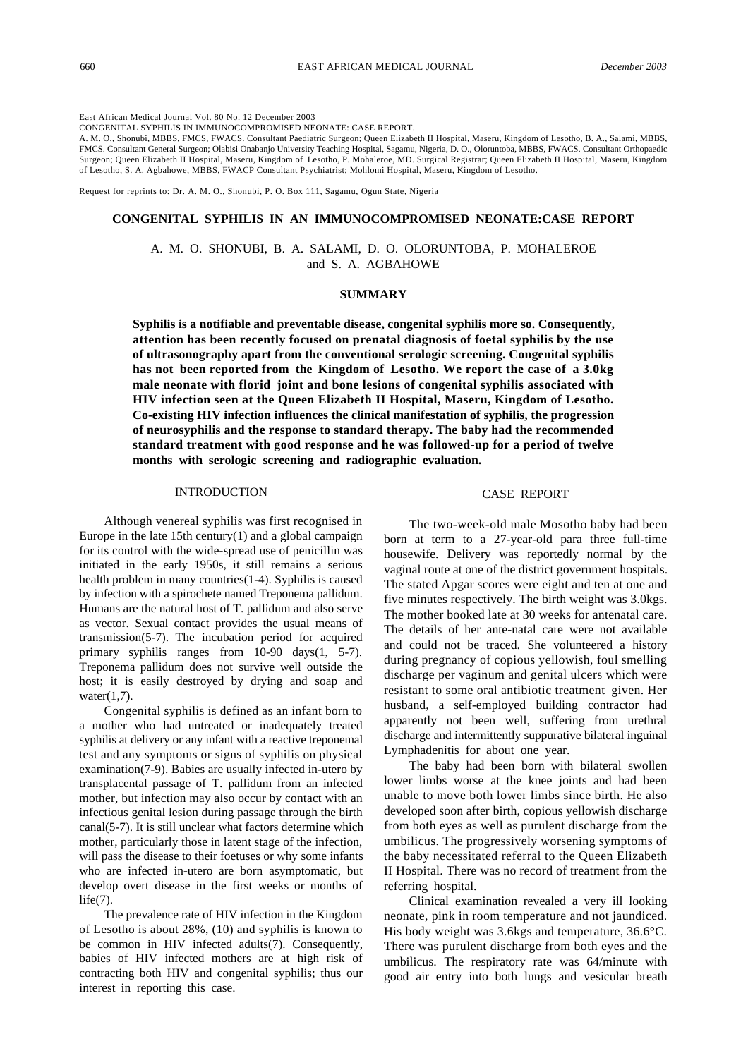East African Medical Journal Vol. 80 No. 12 December 2003

CONGENITAL SYPHILIS IN IMMUNOCOMPROMISED NEONATE: CASE REPORT.

A. M. O., Shonubi, MBBS, FMCS, FWACS. Consultant Paediatric Surgeon; Queen Elizabeth II Hospital, Maseru, Kingdom of Lesotho, B. A., Salami, MBBS, FMCS. Consultant General Surgeon; Olabisi Onabanjo University Teaching Hospital, Sagamu, Nigeria, D. O., Oloruntoba, MBBS, FWACS. Consultant Orthopaedic Surgeon; Queen Elizabeth II Hospital, Maseru, Kingdom of Lesotho, P. Mohaleroe, MD. Surgical Registrar; Queen Elizabeth II Hospital, Maseru, Kingdom of Lesotho, S. A. Agbahowe, MBBS, FWACP Consultant Psychiatrist; Mohlomi Hospital, Maseru, Kingdom of Lesotho.

Request for reprints to: Dr. A. M. O., Shonubi, P. O. Box 111, Sagamu, Ogun State, Nigeria

### **CONGENITAL SYPHILIS IN AN IMMUNOCOMPROMISED NEONATE:CASE REPORT**

A. M. O. SHONUBI, B. A. SALAMI, D. O. OLORUNTOBA, P. MOHALEROE and S. A. AGBAHOWE

### **SUMMARY**

**Syphilis is a notifiable and preventable disease, congenital syphilis more so. Consequently, attention has been recently focused on prenatal diagnosis of foetal syphilis by the use of ultrasonography apart from the conventional serologic screening. Congenital syphilis has not been reported from the Kingdom of Lesotho. We report the case of a 3.0kg male neonate with florid joint and bone lesions of congenital syphilis associated with HIV infection seen at the Queen Elizabeth II Hospital, Maseru, Kingdom of Lesotho. Co-existing HIV infection influences the clinical manifestation of syphilis, the progression of neurosyphilis and the response to standard therapy. The baby had the recommended standard treatment with good response and he was followed-up for a period of twelve months with serologic screening and radiographic evaluation.**

## INTRODUCTION

Although venereal syphilis was first recognised in Europe in the late 15th century $(1)$  and a global campaign for its control with the wide-spread use of penicillin was initiated in the early 1950s, it still remains a serious health problem in many countries(1-4). Syphilis is caused by infection with a spirochete named Treponema pallidum. Humans are the natural host of T. pallidum and also serve as vector. Sexual contact provides the usual means of transmission(5-7). The incubation period for acquired primary syphilis ranges from 10-90 days(1, 5-7). Treponema pallidum does not survive well outside the host; it is easily destroyed by drying and soap and water $(1,7)$ .

Congenital syphilis is defined as an infant born to a mother who had untreated or inadequately treated syphilis at delivery or any infant with a reactive treponemal test and any symptoms or signs of syphilis on physical examination(7-9). Babies are usually infected in-utero by transplacental passage of T. pallidum from an infected mother, but infection may also occur by contact with an infectious genital lesion during passage through the birth canal(5-7). It is still unclear what factors determine which mother, particularly those in latent stage of the infection, will pass the disease to their foetuses or why some infants who are infected in-utero are born asymptomatic, but develop overt disease in the first weeks or months of  $life(7).$ 

The prevalence rate of HIV infection in the Kingdom of Lesotho is about 28%, (10) and syphilis is known to be common in HIV infected adults(7). Consequently, babies of HIV infected mothers are at high risk of contracting both HIV and congenital syphilis; thus our interest in reporting this case.

#### CASE REPORT

The two-week-old male Mosotho baby had been born at term to a 27-year-old para three full-time housewife. Delivery was reportedly normal by the vaginal route at one of the district government hospitals. The stated Apgar scores were eight and ten at one and five minutes respectively. The birth weight was 3.0kgs. The mother booked late at 30 weeks for antenatal care. The details of her ante-natal care were not available and could not be traced. She volunteered a history during pregnancy of copious yellowish, foul smelling discharge per vaginum and genital ulcers which were resistant to some oral antibiotic treatment given. Her husband, a self-employed building contractor had apparently not been well, suffering from urethral discharge and intermittently suppurative bilateral inguinal Lymphadenitis for about one year.

The baby had been born with bilateral swollen lower limbs worse at the knee joints and had been unable to move both lower limbs since birth. He also developed soon after birth, copious yellowish discharge from both eyes as well as purulent discharge from the umbilicus. The progressively worsening symptoms of the baby necessitated referral to the Queen Elizabeth II Hospital. There was no record of treatment from the referring hospital.

Clinical examination revealed a very ill looking neonate, pink in room temperature and not jaundiced. His body weight was 3.6kgs and temperature, 36.6°C. There was purulent discharge from both eyes and the umbilicus. The respiratory rate was 64/minute with good air entry into both lungs and vesicular breath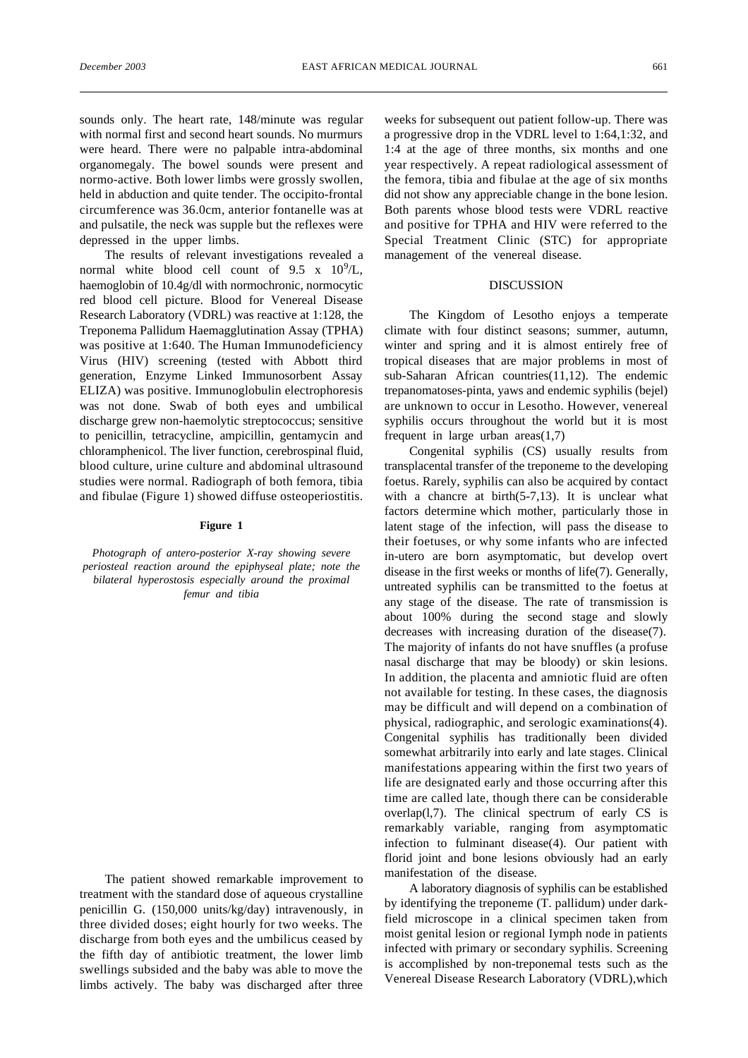sounds only. The heart rate, 148/minute was regular with normal first and second heart sounds. No murmurs were heard. There were no palpable intra-abdominal organomegaly. The bowel sounds were present and normo-active. Both lower limbs were grossly swollen, held in abduction and quite tender. The occipito-frontal circumference was 36.0cm, anterior fontanelle was at and pulsatile, the neck was supple but the reflexes were depressed in the upper limbs.

The results of relevant investigations revealed a normal white blood cell count of  $9.5 \times 10^9$ /L, haemoglobin of 10.4g/dl with normochronic, normocytic red blood cell picture. Blood for Venereal Disease Research Laboratory (VDRL) was reactive at 1:128, the Treponema Pallidum Haemagglutination Assay (TPHA) was positive at 1:640. The Human Immunodeficiency Virus (HIV) screening (tested with Abbott third generation, Enzyme Linked Immunosorbent Assay ELIZA) was positive. Immunoglobulin electrophoresis was not done. Swab of both eyes and umbilical discharge grew non-haemolytic streptococcus; sensitive to penicillin, tetracycline, ampicillin, gentamycin and chloramphenicol. The liver function, cerebrospinal fluid, blood culture, urine culture and abdominal ultrasound studies were normal. Radiograph of both femora, tibia and fibulae (Figure 1) showed diffuse osteoperiostitis.

### **Figure 1**

*Photograph of antero-posterior X-ray showing severe periosteal reaction around the epiphyseal plate; note the bilateral hyperostosis especially around the proximal femur and tibia*

The patient showed remarkable improvement to treatment with the standard dose of aqueous crystalline penicillin G. (150,000 units/kg/day) intravenously, in three divided doses; eight hourly for two weeks. The discharge from both eyes and the umbilicus ceased by the fifth day of antibiotic treatment, the lower limb swellings subsided and the baby was able to move the limbs actively. The baby was discharged after three weeks for subsequent out patient follow-up. There was a progressive drop in the VDRL level to 1:64,1:32, and 1:4 at the age of three months, six months and one year respectively. A repeat radiological assessment of the femora, tibia and fibulae at the age of six months did not show any appreciable change in the bone lesion. Both parents whose blood tests were VDRL reactive and positive for TPHA and HIV were referred to the Special Treatment Clinic (STC) for appropriate management of the venereal disease.

### DISCUSSION

The Kingdom of Lesotho enjoys a temperate climate with four distinct seasons; summer, autumn, winter and spring and it is almost entirely free of tropical diseases that are major problems in most of sub-Saharan African countries(11,12). The endemic trepanomatoses-pinta, yaws and endemic syphilis (bejel) are unknown to occur in Lesotho. However, venereal syphilis occurs throughout the world but it is most frequent in large urban  $area(1,7)$ 

Congenital syphilis (CS) usually results from transplacental transfer of the treponeme to the developing foetus. Rarely, syphilis can also be acquired by contact with a chancre at birth $(5-7,13)$ . It is unclear what factors determine which mother, particularly those in latent stage of the infection, will pass the disease to their foetuses, or why some infants who are infected in-utero are born asymptomatic, but develop overt disease in the first weeks or months of life(7). Generally, untreated syphilis can be transmitted to the foetus at any stage of the disease. The rate of transmission is about 100% during the second stage and slowly decreases with increasing duration of the disease(7). The majority of infants do not have snuffles (a profuse nasal discharge that may be bloody) or skin lesions. In addition, the placenta and amniotic fluid are often not available for testing. In these cases, the diagnosis may be difficult and will depend on a combination of physical, radiographic, and serologic examinations(4). Congenital syphilis has traditionally been divided somewhat arbitrarily into early and late stages. Clinical manifestations appearing within the first two years of life are designated early and those occurring after this time are called late, though there can be considerable overlap(l,7). The clinical spectrum of early CS is remarkably variable, ranging from asymptomatic infection to fulminant disease(4). Our patient with florid joint and bone lesions obviously had an early manifestation of the disease.

A laboratory diagnosis of syphilis can be established by identifying the treponeme (T. pallidum) under darkfield microscope in a clinical specimen taken from moist genital lesion or regional Iymph node in patients infected with primary or secondary syphilis. Screening is accomplished by non-treponemal tests such as the Venereal Disease Research Laboratory (VDRL),which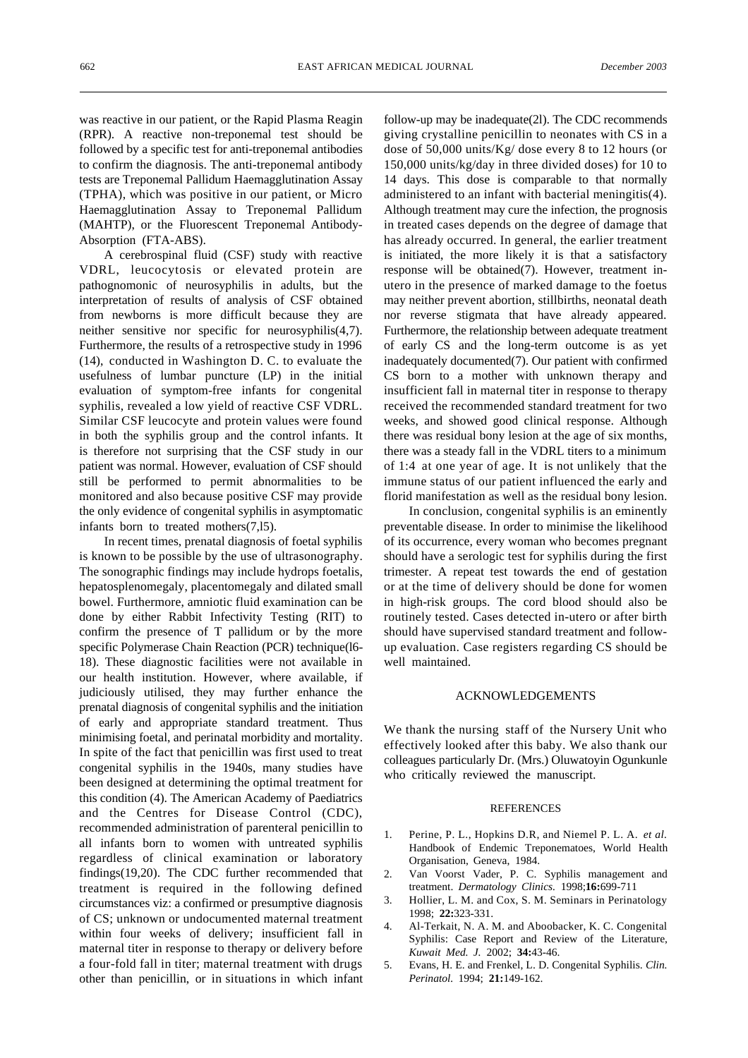was reactive in our patient, or the Rapid Plasma Reagin (RPR). A reactive non-treponemal test should be followed by a specific test for anti-treponemal antibodies to confirm the diagnosis. The anti-treponemal antibody tests are Treponemal Pallidum Haemagglutination Assay (TPHA), which was positive in our patient, or Micro Haemagglutination Assay to Treponemal Pallidum (MAHTP), or the Fluorescent Treponemal Antibody-Absorption (FTA-ABS).

A cerebrospinal fluid (CSF) study with reactive VDRL, leucocytosis or elevated protein are pathognomonic of neurosyphilis in adults, but the interpretation of results of analysis of CSF obtained from newborns is more difficult because they are neither sensitive nor specific for neurosyphilis(4,7). Furthermore, the results of a retrospective study in 1996 (14), conducted in Washington D. C. to evaluate the usefulness of lumbar puncture (LP) in the initial evaluation of symptom-free infants for congenital syphilis, revealed a low yield of reactive CSF VDRL. Similar CSF leucocyte and protein values were found in both the syphilis group and the control infants. It is therefore not surprising that the CSF study in our patient was normal. However, evaluation of CSF should still be performed to permit abnormalities to be monitored and also because positive CSF may provide the only evidence of congenital syphilis in asymptomatic infants born to treated mothers(7,l5).

In recent times, prenatal diagnosis of foetal syphilis is known to be possible by the use of ultrasonography. The sonographic findings may include hydrops foetalis, hepatosplenomegaly, placentomegaly and dilated small bowel. Furthermore, amniotic fluid examination can be done by either Rabbit Infectivity Testing (RIT) to confirm the presence of T pallidum or by the more specific Polymerase Chain Reaction (PCR) technique(l6- 18). These diagnostic facilities were not available in our health institution. However, where available, if judiciously utilised, they may further enhance the prenatal diagnosis of congenital syphilis and the initiation of early and appropriate standard treatment. Thus minimising foetal, and perinatal morbidity and mortality. In spite of the fact that penicillin was first used to treat congenital syphilis in the 1940s, many studies have been designed at determining the optimal treatment for this condition (4). The American Academy of Paediatrics and the Centres for Disease Control (CDC), recommended administration of parenteral penicillin to all infants born to women with untreated syphilis regardless of clinical examination or laboratory findings(19,20). The CDC further recommended that treatment is required in the following defined circumstances viz: a confirmed or presumptive diagnosis of CS; unknown or undocumented maternal treatment within four weeks of delivery; insufficient fall in maternal titer in response to therapy or delivery before a four-fold fall in titer; maternal treatment with drugs other than penicillin, or in situations in which infant follow-up may be inadequate(2l). The CDC recommends giving crystalline penicillin to neonates with CS in a dose of 50,000 units/Kg/ dose every 8 to 12 hours (or 150,000 units/kg/day in three divided doses) for 10 to 14 days. This dose is comparable to that normally administered to an infant with bacterial meningitis(4). Although treatment may cure the infection, the prognosis in treated cases depends on the degree of damage that has already occurred. In general, the earlier treatment is initiated, the more likely it is that a satisfactory response will be obtained(7). However, treatment inutero in the presence of marked damage to the foetus may neither prevent abortion, stillbirths, neonatal death nor reverse stigmata that have already appeared. Furthermore, the relationship between adequate treatment of early CS and the long-term outcome is as yet inadequately documented(7). Our patient with confirmed CS born to a mother with unknown therapy and insufficient fall in maternal titer in response to therapy received the recommended standard treatment for two weeks, and showed good clinical response. Although there was residual bony lesion at the age of six months, there was a steady fall in the VDRL titers to a minimum of 1:4 at one year of age. It is not unlikely that the immune status of our patient influenced the early and florid manifestation as well as the residual bony lesion.

In conclusion, congenital syphilis is an eminently preventable disease. In order to minimise the likelihood of its occurrence, every woman who becomes pregnant should have a serologic test for syphilis during the first trimester. A repeat test towards the end of gestation or at the time of delivery should be done for women in high-risk groups. The cord blood should also be routinely tested. Cases detected in-utero or after birth should have supervised standard treatment and followup evaluation. Case registers regarding CS should be well maintained.

# ACKNOWLEDGEMENTS

We thank the nursing staff of the Nursery Unit who effectively looked after this baby. We also thank our colleagues particularly Dr. (Mrs.) Oluwatoyin Ogunkunle who critically reviewed the manuscript.

#### **REFERENCES**

- 1. Perine, P. L., Hopkins D.R, and Niemel P. L. A. *et al.* Handbook of Endemic Treponematoes, World Health Organisation, Geneva, 1984.
- 2. Van Voorst Vader, P. C. Syphilis management and treatment. *Dermatology Clinics.* 1998;**16:**699-711
- 3. Hollier, L. M. and Cox, S. M. Seminars in Perinatology 1998; **22:**323-331.
- 4. Al-Terkait, N. A. M. and Aboobacker, K. C. Congenital Syphilis: Case Report and Review of the Literature, *Kuwait Med. J.* 2002; **34:**43-46.
- 5. Evans, H. E. and Frenkel, L. D. Congenital Syphilis. *Clin. Perinatol.* 1994; **21:**149-162.